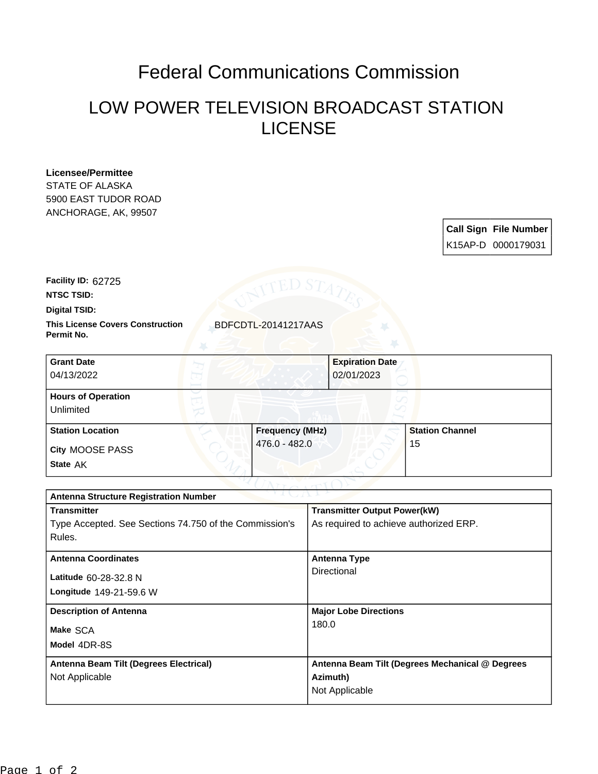# Federal Communications Commission

## LOW POWER TELEVISION BROADCAST STATION LICENSE

#### **Licensee/Permittee**

STATE OF ALASKA 5900 EAST TUDOR ROAD ANCHORAGE, AK, 99507

## **Call Sign File Number** K15AP-D 0000179031

**Facility ID:** 62725

**NTSC TSID:**

**Digital TSID:**

**This License Covers Construction BDFCDTL-20141217AAS Permit No.**

| <b>Grant Date</b><br>04/13/2022        | <b>Expiration Date</b><br>02/01/2023 |                        |
|----------------------------------------|--------------------------------------|------------------------|
| <b>Hours of Operation</b><br>Unlimited |                                      |                        |
| <b>Station Location</b>                | <b>Frequency (MHz)</b>               | <b>Station Channel</b> |
| City MOOSE PASS<br>State AK            | 476.0 - 482.0                        | 15                     |

| <b>Antenna Structure Registration Number</b>           |                                                 |  |  |
|--------------------------------------------------------|-------------------------------------------------|--|--|
| <b>Transmitter</b>                                     | <b>Transmitter Output Power(kW)</b>             |  |  |
| Type Accepted. See Sections 74.750 of the Commission's | As required to achieve authorized ERP.          |  |  |
| Rules.                                                 |                                                 |  |  |
| <b>Antenna Coordinates</b>                             | <b>Antenna Type</b>                             |  |  |
| Latitude 60-28-32.8 N                                  | Directional                                     |  |  |
| Longitude 149-21-59.6 W                                |                                                 |  |  |
| <b>Description of Antenna</b>                          | <b>Major Lobe Directions</b>                    |  |  |
| Make SCA                                               | 180.0                                           |  |  |
| Model 4DR-8S                                           |                                                 |  |  |
| Antenna Beam Tilt (Degrees Electrical)                 | Antenna Beam Tilt (Degrees Mechanical @ Degrees |  |  |
| Not Applicable                                         | Azimuth)                                        |  |  |
|                                                        | Not Applicable                                  |  |  |
|                                                        |                                                 |  |  |